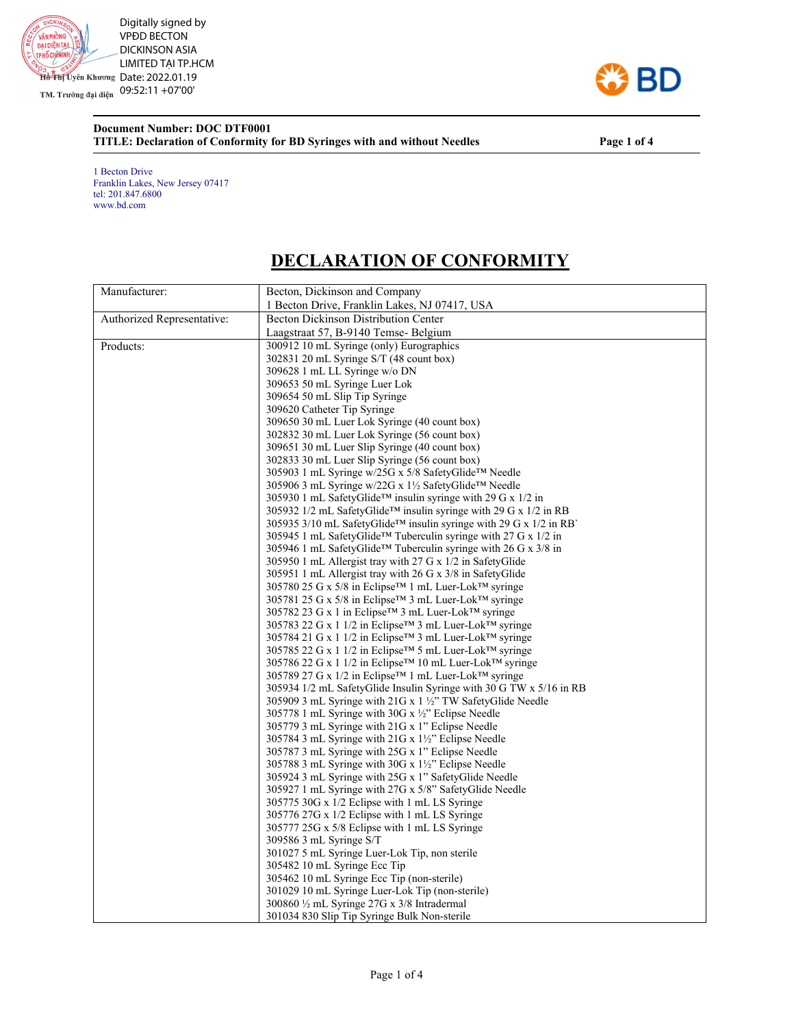

TM. Trưởng đại diện 09:52:11 +07'00'

## **BD**

## **Document Number: DOC DTF0001 TITLE: Declaration of Conformity for BD Syringes with and without Needles Page 1 of 4**

1 Becton Drive Franklin Lakes, New Jersey 07417 tel: 201.847.6800 www.bd.com

## **DECLARATION OF CONFORMITY**

| Manufacturer:              | Becton, Dickinson and Company                                                                                                           |
|----------------------------|-----------------------------------------------------------------------------------------------------------------------------------------|
|                            | 1 Becton Drive, Franklin Lakes, NJ 07417, USA                                                                                           |
| Authorized Representative: | <b>Becton Dickinson Distribution Center</b>                                                                                             |
|                            | Laagstraat 57, B-9140 Temse- Belgium                                                                                                    |
| Products:                  | 300912 10 mL Syringe (only) Eurographics                                                                                                |
|                            | 302831 20 mL Syringe S/T (48 count box)                                                                                                 |
|                            | 309628 1 mL LL Syringe w/o DN                                                                                                           |
|                            | 309653 50 mL Syringe Luer Lok                                                                                                           |
|                            | 309654 50 mL Slip Tip Syringe                                                                                                           |
|                            | 309620 Catheter Tip Syringe                                                                                                             |
|                            | 309650 30 mL Luer Lok Syringe (40 count box)                                                                                            |
|                            | 302832 30 mL Luer Lok Syringe (56 count box)                                                                                            |
|                            | 309651 30 mL Luer Slip Syringe (40 count box)                                                                                           |
|                            | 302833 30 mL Luer Slip Syringe (56 count box)                                                                                           |
|                            | 305903 1 mL Syringe w/25G x 5/8 SafetyGlide™ Needle                                                                                     |
|                            | 305906 3 mL Syringe w/22G x 1½ SafetyGlide <sup>™</sup> Needle                                                                          |
|                            | 305930 1 mL SafetyGlide <sup>TM</sup> insulin syringe with 29 G x 1/2 in                                                                |
|                            | 305932 1/2 mL SafetyGlide <sup>TM</sup> insulin syringe with 29 G x 1/2 in RB                                                           |
|                            | 305935 3/10 mL SafetyGlide <sup>TM</sup> insulin syringe with 29 G x 1/2 in RB                                                          |
|                            | 305945 1 mL SafetyGlide™ Tuberculin syringe with 27 G x 1/2 in                                                                          |
|                            | 305946 1 mL SafetyGlide <sup>TM</sup> Tuberculin syringe with 26 G x $3/8$ in                                                           |
|                            | 305950 1 mL Allergist tray with 27 G x 1/2 in SafetyGlide                                                                               |
|                            | 305951 1 mL Allergist tray with 26 G x 3/8 in SafetyGlide                                                                               |
|                            | 305780 25 G x 5/8 in Eclipse <sup>™</sup> 1 mL Luer-Lok <sup>™</sup> syringe                                                            |
|                            | 305781 25 G x 5/8 in Eclipse <sup>™</sup> 3 mL Luer-Lok™ syringe                                                                        |
|                            | 305782 23 G x 1 in Eclipse™ 3 mL Luer-Lok™ syringe                                                                                      |
|                            | 305783 22 G x 1 1/2 in Eclipse <sup>™</sup> 3 mL Luer-Lok™ syringe                                                                      |
|                            | 305784 21 G x 1 1/2 in Eclipse™ 3 mL Luer-Lok™ syringe                                                                                  |
|                            | 305785 22 G x 1 1/2 in Eclipse <sup>™</sup> 5 mL Luer-Lok™ syringe                                                                      |
|                            |                                                                                                                                         |
|                            | 305786 22 G x 1 1/2 in Eclipse <sup>™</sup> 10 mL Luer-Lok <sup>™</sup> syringe<br>305789 27 G x 1/2 in Eclipse™ 1 mL Luer-Lok™ syringe |
|                            | 305934 1/2 mL SafetyGlide Insulin Syringe with 30 G TW x 5/16 in RB                                                                     |
|                            | 305909 3 mL Syringe with 21G x 1 1/2" TW SafetyGlide Needle                                                                             |
|                            |                                                                                                                                         |
|                            | 305778 1 mL Syringe with 30G x $\frac{1}{2}$ . Eclipse Needle                                                                           |
|                            | 305779 3 mL Syringe with 21G x 1" Eclipse Needle                                                                                        |
|                            | 305784 3 mL Syringe with 21G x 1½" Eclipse Needle<br>305787 3 mL Syringe with 25G x 1" Eclipse Needle                                   |
|                            | 305788 3 mL Syringe with 30G x $1\frac{1}{2}$ . Eclipse Needle                                                                          |
|                            |                                                                                                                                         |
|                            | 305924 3 mL Syringe with 25G x 1" SafetyGlide Needle                                                                                    |
|                            | 305927 1 mL Syringe with 27G x 5/8" SafetyGlide Needle                                                                                  |
|                            | 305775 30G x 1/2 Eclipse with 1 mL LS Syringe                                                                                           |
|                            | 305776 27G x 1/2 Eclipse with 1 mL LS Syringe                                                                                           |
|                            | 305777 25G x 5/8 Eclipse with 1 mL LS Syringe                                                                                           |
|                            | 309586 3 mL Syringe S/T                                                                                                                 |
|                            | 301027 5 mL Syringe Luer-Lok Tip, non sterile                                                                                           |
|                            | 305482 10 mL Syringe Ecc Tip                                                                                                            |
|                            | 305462 10 mL Syringe Ecc Tip (non-sterile)                                                                                              |
|                            | 301029 10 mL Syringe Luer-Lok Tip (non-sterile)                                                                                         |
|                            | $300860 \frac{1}{2}$ mL Syringe 27G x 3/8 Intradermal                                                                                   |
|                            | 301034 830 Slip Tip Syringe Bulk Non-sterile                                                                                            |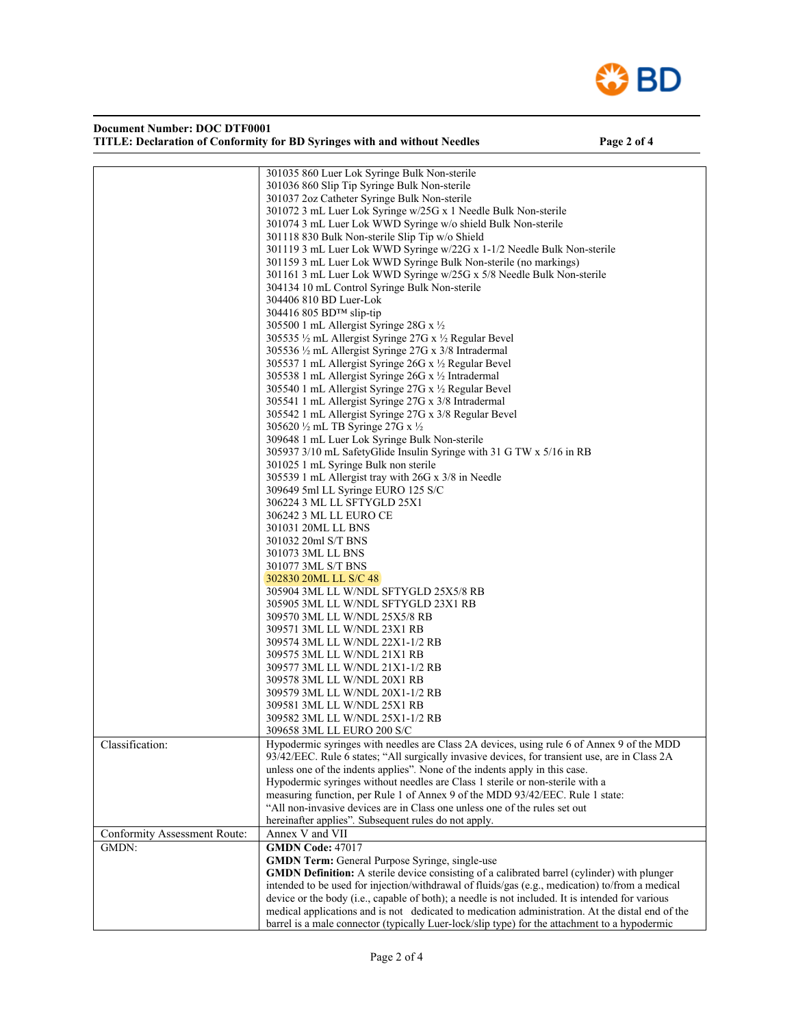

| Document Number: DOC DTF0001                                              |  |
|---------------------------------------------------------------------------|--|
| TITLE: Declaration of Conformity for BD Syringes with and without Needles |  |

Page 2 of 4

|                              | 301035 860 Luer Lok Syringe Bulk Non-sterile                                                       |  |  |
|------------------------------|----------------------------------------------------------------------------------------------------|--|--|
|                              | 301036 860 Slip Tip Syringe Bulk Non-sterile                                                       |  |  |
|                              | 301037 2oz Catheter Syringe Bulk Non-sterile                                                       |  |  |
|                              | 301072 3 mL Luer Lok Syringe w/25G x 1 Needle Bulk Non-sterile                                     |  |  |
|                              | 301074 3 mL Luer Lok WWD Syringe w/o shield Bulk Non-sterile                                       |  |  |
|                              | 301118 830 Bulk Non-sterile Slip Tip w/o Shield                                                    |  |  |
|                              |                                                                                                    |  |  |
|                              | 301119 3 mL Luer Lok WWD Syringe w/22G x 1-1/2 Needle Bulk Non-sterile                             |  |  |
|                              | 301159 3 mL Luer Lok WWD Syringe Bulk Non-sterile (no markings)                                    |  |  |
|                              | 301161 3 mL Luer Lok WWD Syringe w/25G x 5/8 Needle Bulk Non-sterile                               |  |  |
|                              | 304134 10 mL Control Syringe Bulk Non-sterile                                                      |  |  |
|                              | 304406 810 BD Luer-Lok                                                                             |  |  |
|                              | 304416 805 BD™ slip-tip                                                                            |  |  |
|                              | 305500 1 mL Allergist Syringe 28G x 1/2                                                            |  |  |
|                              | 305535 1/2 mL Allergist Syringe 27G x 1/2 Regular Bevel                                            |  |  |
|                              |                                                                                                    |  |  |
|                              | 305536 1/2 mL Allergist Syringe 27G x 3/8 Intradermal                                              |  |  |
|                              | 305537 1 mL Allergist Syringe 26G x 1/2 Regular Bevel                                              |  |  |
|                              | 305538 1 mL Allergist Syringe 26G x 1/2 Intradermal                                                |  |  |
|                              | 305540 1 mL Allergist Syringe 27G x 1/2 Regular Bevel                                              |  |  |
|                              | 305541 1 mL Allergist Syringe 27G x 3/8 Intradermal                                                |  |  |
|                              | 305542 1 mL Allergist Syringe 27G x 3/8 Regular Bevel                                              |  |  |
|                              | 305620 1/2 mL TB Syringe 27G x 1/2                                                                 |  |  |
|                              |                                                                                                    |  |  |
|                              | 309648 1 mL Luer Lok Syringe Bulk Non-sterile                                                      |  |  |
|                              | 305937 3/10 mL SafetyGlide Insulin Syringe with 31 G TW x 5/16 in RB                               |  |  |
|                              | 301025 1 mL Syringe Bulk non sterile                                                               |  |  |
|                              | 305539 1 mL Allergist tray with 26G x 3/8 in Needle                                                |  |  |
|                              | 309649 5ml LL Syringe EURO 125 S/C                                                                 |  |  |
|                              | 306224 3 ML LL SFTYGLD 25X1                                                                        |  |  |
|                              | 306242 3 ML LL EURO CE                                                                             |  |  |
|                              | 301031 20ML LL BNS                                                                                 |  |  |
|                              | 301032 20ml S/T BNS                                                                                |  |  |
|                              |                                                                                                    |  |  |
|                              | 301073 3ML LL BNS                                                                                  |  |  |
|                              | 301077 3ML S/T BNS                                                                                 |  |  |
|                              | 302830 20ML LL S/C 48                                                                              |  |  |
|                              | 305904 3ML LL W/NDL SFTYGLD 25X5/8 RB                                                              |  |  |
|                              | 305905 3ML LL W/NDL SFTYGLD 23X1 RB                                                                |  |  |
|                              | 309570 3ML LL W/NDL 25X5/8 RB                                                                      |  |  |
|                              | 309571 3ML LL W/NDL 23X1 RB                                                                        |  |  |
|                              | 309574 3ML LL W/NDL 22X1-1/2 RB                                                                    |  |  |
|                              | 309575 3ML LL W/NDL 21X1 RB                                                                        |  |  |
|                              | 309577 3ML LL W/NDL 21X1-1/2 RB                                                                    |  |  |
|                              |                                                                                                    |  |  |
|                              | 309578 3ML LL W/NDL 20X1 RB                                                                        |  |  |
|                              | 309579 3ML LL W/NDL 20X1-1/2 RB                                                                    |  |  |
|                              | 309581 3ML LL W/NDL 25X1 RB                                                                        |  |  |
|                              | 309582 3ML LL W/NDL 25X1-1/2 RB                                                                    |  |  |
|                              | 309658 3ML LL EURO 200 S/C                                                                         |  |  |
| Classification:              | Hypodermic syringes with needles are Class 2A devices, using rule 6 of Annex 9 of the MDD          |  |  |
|                              | 93/42/EEC. Rule 6 states; "All surgically invasive devices, for transient use, are in Class 2A     |  |  |
|                              | unless one of the indents applies". None of the indents apply in this case.                        |  |  |
|                              |                                                                                                    |  |  |
|                              | Hypodermic syringes without needles are Class 1 sterile or non-sterile with a                      |  |  |
|                              | measuring function, per Rule 1 of Annex 9 of the MDD 93/42/EEC. Rule 1 state:                      |  |  |
|                              | "All non-invasive devices are in Class one unless one of the rules set out                         |  |  |
|                              | hereinafter applies". Subsequent rules do not apply.                                               |  |  |
| Conformity Assessment Route: | Annex V and VII                                                                                    |  |  |
| GMDN:                        | <b>GMDN Code: 47017</b>                                                                            |  |  |
|                              | <b>GMDN Term:</b> General Purpose Syringe, single-use                                              |  |  |
|                              | <b>GMDN Definition:</b> A sterile device consisting of a calibrated barrel (cylinder) with plunger |  |  |
|                              | intended to be used for injection/withdrawal of fluids/gas (e.g., medication) to/from a medical    |  |  |
|                              | device or the body (i.e., capable of both); a needle is not included. It is intended for various   |  |  |
|                              | medical applications and is not dedicated to medication administration. At the distal end of the   |  |  |
|                              |                                                                                                    |  |  |
|                              | barrel is a male connector (typically Luer-lock/slip type) for the attachment to a hypodermic      |  |  |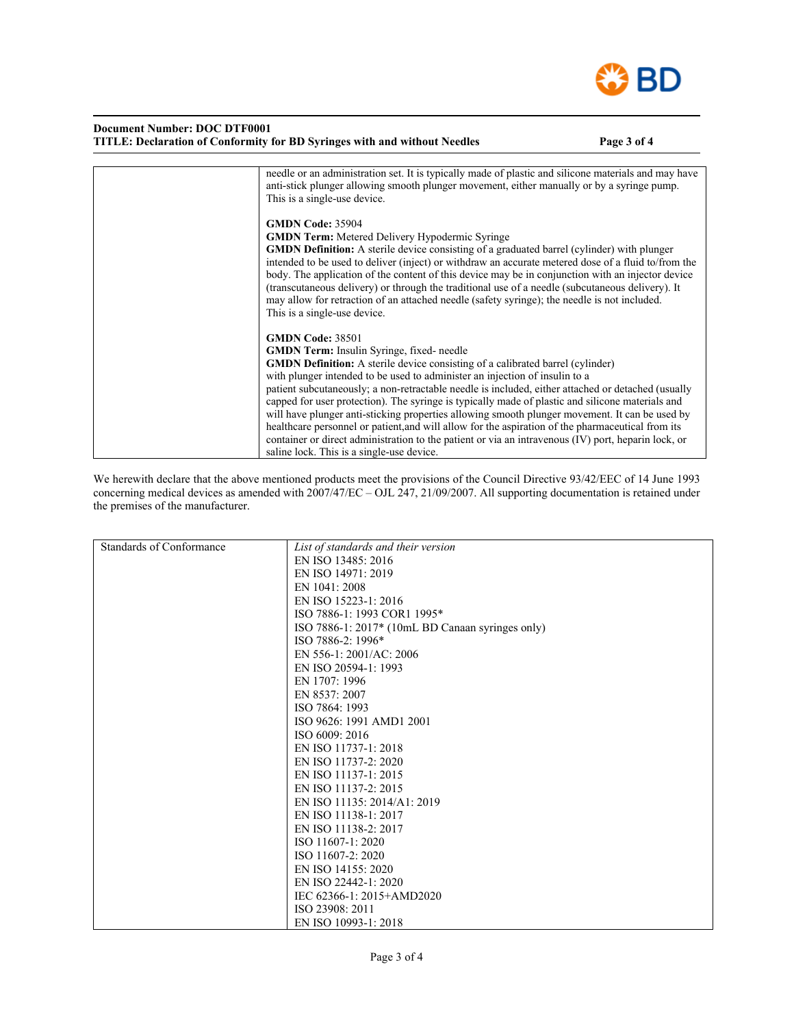

| <b>Document Number: DOC DTF0001</b><br>TITLE: Declaration of Conformity for BD Syringes with and without Needles                                                                                                                                                                                                                                                                                                                                                                                                                                                                                                                                                                                                                                                                                                         | Page 3 of 4 |
|--------------------------------------------------------------------------------------------------------------------------------------------------------------------------------------------------------------------------------------------------------------------------------------------------------------------------------------------------------------------------------------------------------------------------------------------------------------------------------------------------------------------------------------------------------------------------------------------------------------------------------------------------------------------------------------------------------------------------------------------------------------------------------------------------------------------------|-------------|
| needle or an administration set. It is typically made of plastic and silicone materials and may have<br>anti-stick plunger allowing smooth plunger movement, either manually or by a syringe pump.<br>This is a single-use device.                                                                                                                                                                                                                                                                                                                                                                                                                                                                                                                                                                                       |             |
| <b>GMDN Code: 35904</b><br><b>GMDN Term:</b> Metered Delivery Hypodermic Syringe<br><b>GMDN Definition:</b> A sterile device consisting of a graduated barrel (cylinder) with plunger<br>intended to be used to deliver (inject) or withdraw an accurate metered dose of a fluid to/from the<br>body. The application of the content of this device may be in conjunction with an injector device<br>(transcutaneous delivery) or through the traditional use of a needle (subcutaneous delivery). It<br>may allow for retraction of an attached needle (safety syringe); the needle is not included.<br>This is a single-use device.                                                                                                                                                                                    |             |
| <b>GMDN Code: 38501</b><br><b>GMDN Term:</b> Insulin Syringe, fixed- needle<br><b>GMDN Definition:</b> A sterile device consisting of a calibrated barrel (cylinder)<br>with plunger intended to be used to administer an injection of insulin to a<br>patient subcutaneously; a non-retractable needle is included, either attached or detached (usually<br>capped for user protection). The syringe is typically made of plastic and silicone materials and<br>will have plunger anti-sticking properties allowing smooth plunger movement. It can be used by<br>healthcare personnel or patient, and will allow for the aspiration of the pharmaceutical from its<br>container or direct administration to the patient or via an intravenous (IV) port, heparin lock, or<br>saline lock. This is a single-use device. |             |

We herewith declare that the above mentioned products meet the provisions of the Council Directive 93/42/EEC of 14 June 1993 concerning medical devices as amended with 2007/47/EC – OJL 247, 21/09/2007. All supporting documentation is retained under the premises of the manufacturer.

| Standards of Conformance | List of standards and their version              |
|--------------------------|--------------------------------------------------|
|                          | EN ISO 13485: 2016                               |
|                          | EN ISO 14971: 2019                               |
|                          | EN 1041: 2008                                    |
|                          |                                                  |
|                          | EN ISO 15223-1: 2016                             |
|                          | ISO 7886-1: 1993 COR1 1995*                      |
|                          | ISO 7886-1: 2017* (10mL BD Canaan syringes only) |
|                          | ISO 7886-2: 1996*                                |
|                          | EN 556-1: 2001/AC: 2006                          |
|                          | EN ISO 20594-1: 1993                             |
|                          | EN 1707: 1996                                    |
|                          | EN 8537: 2007                                    |
|                          | ISO 7864: 1993                                   |
|                          | ISO 9626: 1991 AMD1 2001                         |
|                          | ISO 6009: 2016                                   |
|                          | EN ISO 11737-1: 2018                             |
|                          | EN ISO 11737-2: 2020                             |
|                          | EN ISO 11137-1: 2015                             |
|                          | EN ISO 11137-2: 2015                             |
|                          | EN ISO 11135: 2014/A1: 2019                      |
|                          | EN ISO 11138-1: 2017                             |
|                          | EN ISO 11138-2: 2017                             |
|                          | ISO 11607-1: 2020                                |
|                          | ISO 11607-2: 2020                                |
|                          | EN ISO 14155: 2020                               |
|                          | EN ISO 22442-1: 2020                             |
|                          | IEC 62366-1: 2015+AMD2020                        |
|                          | ISO 23908: 2011                                  |
|                          | EN ISO 10993-1: 2018                             |
|                          |                                                  |